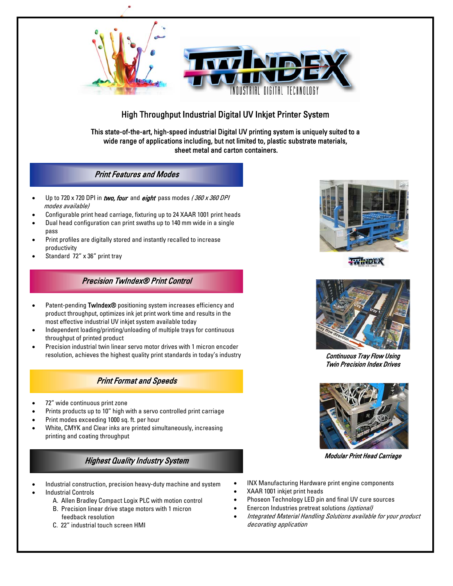

# High Throughput Industrial Digital UV Inkjet Printer System

This state-of-the-art, high-speed industrial Digital UV printing system is uniquely suited to a wide range of applications including, but not limited to, plastic substrate materials, sheet metal and carton containers.

## Print Features and Modes

- Up to 720 x 720 DPI in two, four and eight pass modes  $/360$  x 360 DPI modes available)
- Configurable print head carriage, fixturing up to 24 XAAR 1001 print heads
- Dual head configuration can print swaths up to 140 mm wide in a single pass
- Print profiles are digitally stored and instantly recalled to increase productivity
- Standard 72" x 36" print tray

## Precision TwIndex® Print Control

- Patent-pending TwIndex® positioning system increases efficiency and product throughput, optimizes ink jet print work time and results in the most effective industrial UV inkjet system available today
- Independent loading/printing/unloading of multiple trays for continuous throughput of printed product
- Precision industrial twin linear servo motor drives with 1 micron encoder resolution, achieves the highest quality print standards in today's industry

# Print Format and Speeds

- 72" wide continuous print zone
- Prints products up to 10" high with a servo controlled print carriage
- Print modes exceeding 1000 sq. ft. per hour
- White, CMYK and Clear inks are printed simultaneously, increasing printing and coating throughput

# Highest Quality Industry System Modular Print Head Carriage

- Industrial construction, precision heavy-duty machine and system
- Industrial Controls
	- A. Allen Bradley Compact Logix PLC with motion control
	- B. Precision linear drive stage motors with 1 micron feedback resolution
	- C. 22" industrial touch screen HMI



**WALDEX** 



Continuous Tray Flow Using Twin Precision Index Drives



- INX Manufacturing Hardware print engine components
- XAAR 1001 inkjet print heads
- Phoseon Technology LED pin and final UV cure sources
- Enercon Industries pretreat solutions (optional)
- Integrated Material Handling Solutions available for your product decorating application